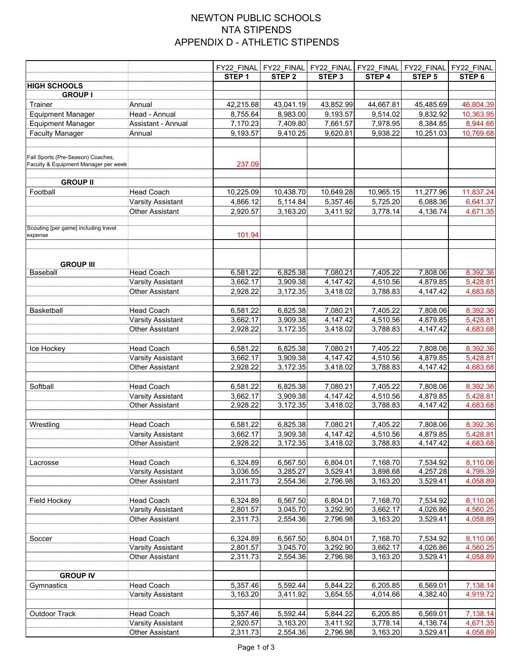## NEWTON PUBLIC SCHOOLS NTA STIPENDS APPENDIX D - ATHLETIC STIPENDS

|                                                                           |                          | FY22_FINAL        | FY22_FINAL        | FY22_FINAL        | FY22_FINAL | FY22_FINAL        | FY22_FINAL |
|---------------------------------------------------------------------------|--------------------------|-------------------|-------------------|-------------------|------------|-------------------|------------|
|                                                                           |                          | STEP <sub>1</sub> | STEP <sub>2</sub> | STEP <sub>3</sub> | STEP 4     | STEP <sub>5</sub> | STEP 6     |
| <b>HIGH SCHOOLS</b>                                                       |                          |                   |                   |                   |            |                   |            |
| <b>GROUP I</b>                                                            |                          |                   |                   |                   |            |                   |            |
| Trainer                                                                   | Annual                   | 42,215.68         | 43,041.19         | 43,852.99         | 44,667.81  | 45,485.69         | 46,804.39  |
| <b>Equipment Manager</b>                                                  | Head - Annual            | 8,755.64          | 8,983.00          | 9,193.57          | 9,514.02   | 9,832.92          | 10,363.95  |
| <b>Equipment Manager</b>                                                  | Assistant - Annual       | 7,170.23          | 7,409.80          | 7,661.57          | 7,978.95   | 8,384.85          | 8,944.66   |
| <b>Faculty Manager</b>                                                    | Annual                   | 9,193.57          | 9,410.25          | 9,620.81          | 9,938.22   | 10,251.03         | 10,769.68  |
|                                                                           |                          |                   |                   |                   |            |                   |            |
| Fall Sports (Pre-Season) Coaches,<br>Faculty & Equipment Manager per week |                          | 237.09            |                   |                   |            |                   |            |
| <b>GROUP II</b>                                                           |                          |                   |                   |                   |            |                   |            |
| Football                                                                  | <b>Head Coach</b>        | 10,225.09         | 10,438.70         | 10,649.28         | 10,965.15  | 11,277.96         | 11,837.24  |
|                                                                           | <b>Varsity Assistant</b> | 4,866.12          | 5,114.84          | 5,357.46          | 5,725.20   | 6,088.36          | 6,641.37   |
|                                                                           | <b>Other Assistant</b>   | 2,920.57          | 3,163.20          | 3,411.92          | 3,778.14   | 4,136.74          | 4,671.35   |
|                                                                           |                          |                   |                   |                   |            |                   |            |
| Scouting [per game] including travel<br>expense                           |                          | 101.94            |                   |                   |            |                   |            |
| <b>GROUP III</b>                                                          |                          |                   |                   |                   |            |                   |            |
| <b>Baseball</b>                                                           | <b>Head Coach</b>        | 6,581.22          | 6,825.38          | 7,080.21          | 7,405.22   | 7,808.06          | 8,392.36   |
|                                                                           | <b>Varsity Assistant</b> | 3,662.17          | 3,909.38          | 4,147.42          | 4,510.56   | 4,879.85          | 5,428.81   |
|                                                                           | <b>Other Assistant</b>   | 2,928.22          | 3,172.35          | 3,418.02          | 3,788.83   | 4,147.42          | 4,683.68   |
|                                                                           |                          |                   |                   |                   |            |                   |            |
| Basketball                                                                | <b>Head Coach</b>        | 6,581.22          | 6,825.38          | 7,080.21          | 7,405.22   | 7,808.06          | 8,392.36   |
|                                                                           | <b>Varsity Assistant</b> | 3,662.17          | 3,909.38          | 4,147.42          | 4,510.56   | 4,879.85          | 5,428.81   |
|                                                                           | <b>Other Assistant</b>   | 2,928.22          | 3,172.35          | 3,418.02          | 3,788.83   | 4,147.42          | 4,683.68   |
|                                                                           |                          |                   |                   |                   |            |                   |            |
| Ice Hockey                                                                | <b>Head Coach</b>        | 6,581.22          | 6,825.38          | 7,080.21          | 7,405.22   | 7,808.06          | 8,392.36   |
|                                                                           | <b>Varsity Assistant</b> | 3,662.17          | 3,909.38          | 4,147.42          | 4,510.56   | 4,879.85          | 5,428.81   |
|                                                                           | <b>Other Assistant</b>   | 2,928.22          | 3,172.35          | 3,418.02          | 3,788.83   | 4,147.42          | 4,683.68   |
| Softball                                                                  | <b>Head Coach</b>        | 6,581.22          | 6,825.38          | 7,080.21          | 7,405.22   | 7,808.06          | 8,392.36   |
|                                                                           | Varsity Assistant        | 3,662.17          | 3,909.38          | 4,147.42          | 4,510.56   | 4,879.85          | 5,428.81   |
|                                                                           | <b>Other Assistant</b>   | 2,928.22          | 3,172.35          | 3,418.02          | 3,788.83   | 4,147.42          | 4,683.68   |
|                                                                           |                          |                   |                   |                   |            |                   |            |
| Wrestling                                                                 | <b>Head Coach</b>        | 6,581.22          | 6,825.38          | 7,080.21          | 7,405.22   | 7,808.06          | 8,392.36   |
|                                                                           | Varsity Assistant        | 3,662.17          | 3,909.38          | 4,147.42          | 4,510.56   | 4,879.85          | 5,428.81   |
|                                                                           | <b>Other Assistant</b>   | 2,928.22          | 3,172.35          | 3,418.02          | 3,788.83   | 4,147.42          | 4,683.68   |
|                                                                           |                          |                   |                   |                   |            |                   |            |
| Lacrosse                                                                  | <b>Head Coach</b>        | 6,324.89          | 6,567.50          | 6,804.01          | 7,168.70   | 7,534.92          | 8,110.06   |
|                                                                           | Varsity Assistant        | 3,036.55          | 3,285.27          | 3,529.41          | 3,898.68   | 4,257.28          | 4,799.39   |
|                                                                           | <b>Other Assistant</b>   | 2,311.73          | 2,554.36          | 2,796.98          | 3,163.20   | 3,529.41          | 4,058.89   |
| Field Hockey                                                              | <b>Head Coach</b>        | 6,324.89          | 6,567.50          | 6,804.01          | 7,168.70   | 7,534.92          | 8,110.06   |
|                                                                           | Varsity Assistant        | 2,801.57          | 3,045.70          | 3,292.90          | 3,662.17   | 4,026.86          | 4,560.25   |
|                                                                           | Other Assistant          | 2,311.73          | 2,554.36          | 2,796.98          | 3,163.20   | 3,529.41          | 4,058.89   |
|                                                                           |                          |                   |                   |                   |            |                   |            |
| Soccer                                                                    | <b>Head Coach</b>        | 6,324.89          | 6,567.50          | 6,804.01          | 7,168.70   | 7,534.92          | 8,110.06   |
|                                                                           | <b>Varsity Assistant</b> | 2,801.57          | 3,045.70          | 3,292.90          | 3,662.17   | 4,026.86          | 4,560.25   |
|                                                                           | <b>Other Assistant</b>   | 2,311.73          | 2,554.36          | 2,796.98          | 3,163.20   | 3,529.41          | 4,058.89   |
|                                                                           |                          |                   |                   |                   |            |                   |            |
| <b>GROUP IV</b>                                                           |                          |                   |                   |                   |            |                   |            |
| Gymnastics                                                                | <b>Head Coach</b>        | 5,357.46          | 5,592.44          | 5,844.22          | 6,205.85   | 6,569.01          | 7,138.14   |
|                                                                           | Varsity Assistant        | 3,163.20          | 3,411.92          | 3,654.55          | 4,014.66   | 4,382.40          | 4,919.72   |
| Outdoor Track                                                             | <b>Head Coach</b>        | 5,357.46          | 5,592.44          | 5,844.22          | 6,205.85   | 6,569.01          | 7,138.14   |
|                                                                           | Varsity Assistant        | 2,920.57          | 3,163.20          | 3,411.92          | 3,778.14   | 4,136.74          | 4,671.35   |
|                                                                           | <b>Other Assistant</b>   | 2,311.73          | 2,554.36          | 2,796.98          | 3,163.20   | 3,529.41          | 4,058.89   |
|                                                                           |                          |                   |                   |                   |            |                   |            |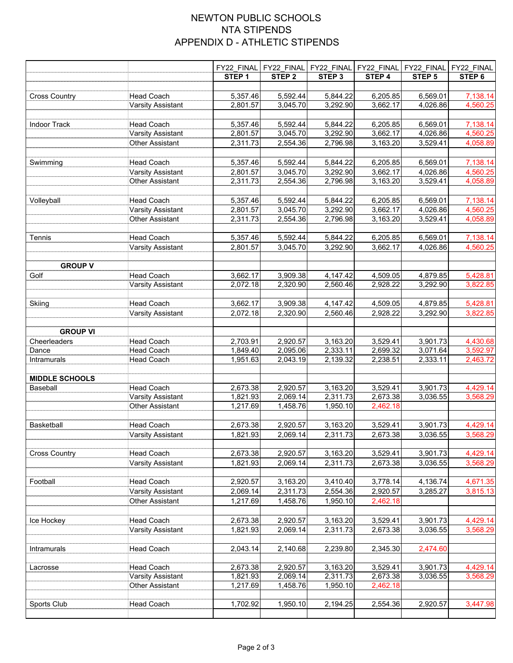## NEWTON PUBLIC SCHOOLS NTA STIPENDS APPENDIX D - ATHLETIC STIPENDS

|                       |                                             | FY22_FINAL           | FY22_FINAL           |                      | FY22_FINAL FY22_FINAL | FY22_FINAL           | FY22_FINAL           |
|-----------------------|---------------------------------------------|----------------------|----------------------|----------------------|-----------------------|----------------------|----------------------|
|                       |                                             | STEP <sub>1</sub>    | STEP <sub>2</sub>    | STEP <sub>3</sub>    | STEP 4                | STEP <sub>5</sub>    | STEP 6               |
| <b>Cross Country</b>  | Head Coach                                  | 5,357.46             | 5,592.44             | 5,844.22             | 6,205.85              | 6,569.01             | 7,138.14             |
|                       | Varsity Assistant                           | 2,801.57             | 3,045.70             | 3,292.90             | 3,662.17              | 4,026.86             | 4,560.25             |
|                       |                                             |                      |                      |                      |                       |                      |                      |
| <b>Indoor Track</b>   | <b>Head Coach</b>                           | 5,357.46             | 5,592.44             | 5,844.22             | 6,205.85              | 6,569.01             | 7,138.14             |
|                       | Varsity Assistant                           | 2,801.57             | 3,045.70             | 3,292.90             | 3,662.17              | 4,026.86             | 4,560.25             |
|                       | <b>Other Assistant</b>                      | 2,311.73             | 2,554.36             | 2,796.98             | 3,163.20              | 3,529.41             | 4,058.89             |
|                       |                                             |                      |                      |                      |                       |                      |                      |
| Swimming              | <b>Head Coach</b>                           | 5,357.46             | 5,592.44             | 5,844.22             | 6,205.85              | 6,569.01             | 7,138.14             |
|                       | Varsity Assistant                           | 2,801.57             | 3,045.70             | 3,292.90             | 3,662.17              | 4,026.86             | 4,560.25             |
|                       | <b>Other Assistant</b>                      | 2,311.73             | 2,554.36             | 2,796.98             | 3,163.20              | 3,529.41             | 4,058.89             |
|                       |                                             |                      |                      |                      |                       |                      |                      |
| Volleyball            | <b>Head Coach</b>                           | 5,357.46             | 5,592.44             | 5,844.22             | 6,205.85              | 6,569.01             | 7,138.14             |
|                       | Varsity Assistant<br><b>Other Assistant</b> | 2,801.57<br>2,311.73 | 3,045.70<br>2,554.36 | 3,292.90<br>2,796.98 | 3,662.17<br>3,163.20  | 4,026.86<br>3,529.41 | 4,560.25<br>4,058.89 |
|                       |                                             |                      |                      |                      |                       |                      |                      |
| Tennis                | <b>Head Coach</b>                           | 5,357.46             | 5,592.44             | 5,844.22             | 6,205.85              | 6,569.01             | 7,138.14             |
|                       | Varsity Assistant                           | 2,801.57             | 3,045.70             | 3,292.90             | 3,662.17              | 4,026.86             | 4,560.25             |
|                       |                                             |                      |                      |                      |                       |                      |                      |
| <b>GROUP V</b>        |                                             |                      |                      |                      |                       |                      |                      |
| Golf                  | <b>Head Coach</b>                           | 3,662.17             | 3,909.38             | 4,147.42             | 4,509.05              | 4,879.85             | 5,428.81             |
|                       | Varsity Assistant                           | 2,072.18             | 2,320.90             | 2,560.46             | 2,928.22              | 3,292.90             | 3,822.85             |
|                       |                                             |                      |                      |                      |                       |                      |                      |
| Skiing                | <b>Head Coach</b>                           | 3,662.17             | 3,909.38             | 4,147.42             | 4,509.05              | 4,879.85             | 5,428.81             |
|                       | Varsity Assistant                           | 2,072.18             | 2,320.90             | 2,560.46             | 2,928.22              | 3,292.90             | 3,822.85             |
|                       |                                             |                      |                      |                      |                       |                      |                      |
| <b>GROUP VI</b>       |                                             |                      |                      |                      |                       |                      |                      |
| Cheerleaders<br>Dance | <b>Head Coach</b><br>Head Coach             | 2,703.91<br>1,849.40 | 2,920.57<br>2,095.06 | 3,163.20<br>2,333.11 | 3,529.41<br>2,699.32  | 3,901.73<br>3,071.64 | 4,430.68<br>3,592.97 |
| Intramurals           | <b>Head Coach</b>                           | 1,951.63             | 2,043.19             | 2,139.32             | 2,238.51              | 2,333.11             | 2,463.72             |
|                       |                                             |                      |                      |                      |                       |                      |                      |
| <b>MIDDLE SCHOOLS</b> |                                             |                      |                      |                      |                       |                      |                      |
| Baseball              | <b>Head Coach</b>                           | 2,673.38             | 2,920.57             | 3,163.20             | 3,529.41              | 3,901.73             | 4,429.14             |
|                       | <b>Varsity Assistant</b>                    | 1,821.93             | 2,069.14             | 2,311.73             | 2,673.38              | 3,036.55             | 3,568.29             |
|                       | <b>Other Assistant</b>                      | 1,217.69             | 1,458.76             | 1,950.10             | 2,462.18              |                      |                      |
|                       |                                             |                      |                      |                      |                       |                      |                      |
| Basketball            | <b>Head Coach</b>                           | 2,673.38             | 2,920.57             | 3,163.20             | 3,529.41              | 3,901.73             | 4,429.14<br>3,568.29 |
|                       | <b>Varsity Assistant</b>                    | 1,821.93             | 2,069.14             | 2,311.73             | 2,673.38              | 3,036.55             |                      |
| <b>Cross Country</b>  | Head Coach                                  | 2,673.38             | 2,920.57             | 3,163.20             | 3,529.41              | 3,901.73             | 4,429.14             |
|                       | Varsity Assistant                           | 1,821.93             | 2,069.14             | 2,311.73             | 2,673.38              | 3,036.55             | 3,568.29             |
|                       |                                             |                      |                      |                      |                       |                      |                      |
| Football              | Head Coach                                  | 2,920.57             | 3,163.20             | 3,410.40             | 3,778.14              | 4,136.74             | 4,671.35             |
|                       | Varsity Assistant                           | 2,069.14             | 2,311.73             | 2,554.36             | 2,920.57              | 3,285.27             | 3,815.13             |
|                       | <b>Other Assistant</b>                      | 1,217.69             | 1,458.76             | 1,950.10             | 2,462.18              |                      |                      |
|                       |                                             |                      |                      |                      |                       |                      |                      |
| Ice Hockey            | <b>Head Coach</b>                           | 2,673.38             | 2,920.57             | 3,163.20             | 3,529.41              | 3,901.73             | 4,429.14             |
|                       | Varsity Assistant                           | 1,821.93             | 2,069.14             | 2,311.73             | 2,673.38              | 3,036.55             | 3,568.29             |
|                       |                                             |                      |                      |                      |                       |                      |                      |
| Intramurals           | Head Coach                                  | 2,043.14             | 2,140.68             | 2,239.80             | 2,345.30              | 2,474.60             |                      |
|                       |                                             |                      |                      |                      |                       |                      |                      |
| Lacrosse              | <b>Head Coach</b><br>Varsity Assistant      | 2,673.38<br>1,821.93 | 2,920.57<br>2,069.14 | 3,163.20<br>2,311.73 | 3,529.41<br>2,673.38  | 3,901.73<br>3,036.55 | 4,429.14<br>3,568.29 |
|                       | Other Assistant                             | 1,217.69             | 1,458.76             | 1,950.10             | 2,462.18              |                      |                      |
|                       |                                             |                      |                      |                      |                       |                      |                      |
| Sports Club           | <b>Head Coach</b>                           | 1,702.92             | 1,950.10             | 2,194.25             | 2,554.36              | 2,920.57             | 3,447.98             |
|                       |                                             |                      |                      |                      |                       |                      |                      |